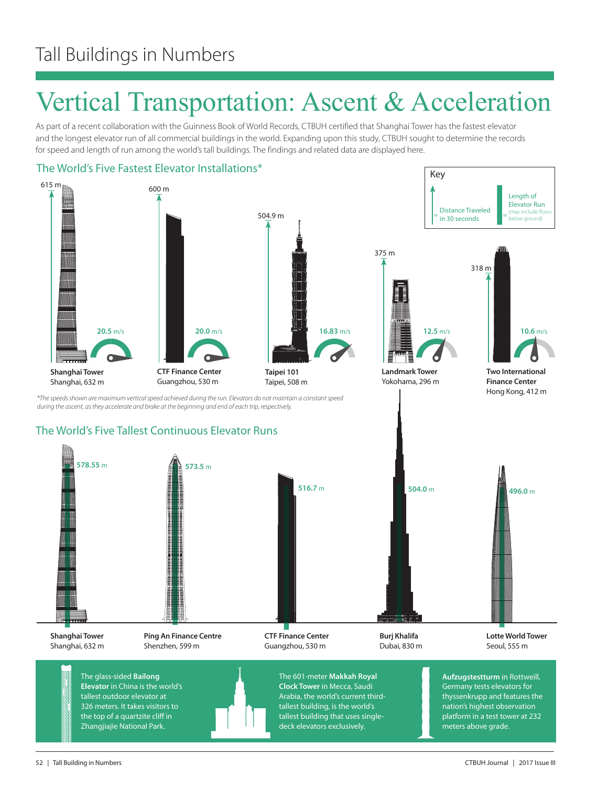## Vertical Transportation: Ascent & Acceleration

As part of a recent collaboration with the Guinness Book of World Records, CTBUH certified that Shanghai Tower has the fastest elevator and the longest elevator run of all commercial buildings in the world. Expanding upon this study, CTBUH sought to determine the records for speed and length of run among the world's tall buildings. The findings and related data are displayed here.